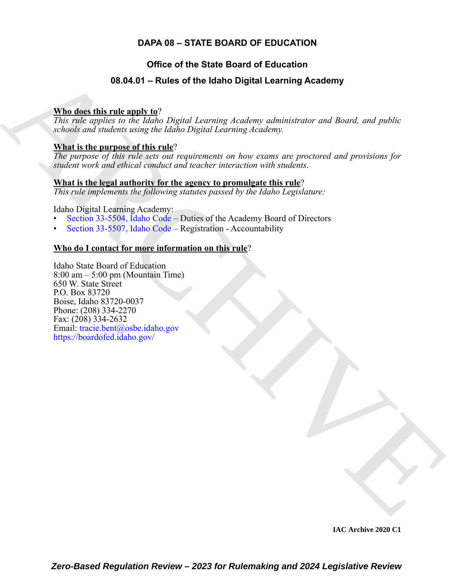# **DAPA 08 – STATE BOARD OF EDUCATION**

# **Office of the State Board of Education**

# **08.04.01 – Rules of the Idaho Digital Learning Academy**

#### **Who does this rule apply to**?

*This rule applies to the Idaho Digital Learning Academy administrator and Board, and public schools and students using the Idaho Digital Learning Academy.*

#### **What is the purpose of this rule**?

*The purpose of this rule sets out requirements on how exams are proctored and provisions for student work and ethical conduct and teacher interaction with students.*

#### **What is the legal authority for the agency to promulgate this rule**?

*This rule implements the following statutes passed by the Idaho Legislature:*

Idaho Digital Learning Academy:

- Section 33-5504, Idaho Code Duties of the Academy Board of Directors
- Section 33-5507, Idaho Code Registration Accountability

### **Who do I contact for more information on this rule**?

<span id="page-0-0"></span>**08.04.01 – Rules of the Idaho Digital Learning Academy**<br>
This ratio describing the angle of the Idaho Digital Learning Academy<br>
This ratio describes to the Idaho Digital Learning Academy<br>
schedule and substitute and subs Idaho State Board of Education  $8:00 \text{ am} - 5:00 \text{ pm}$  (Mountain Time) 650 W. State Street P.O. Box 83720 Boise, Idaho 83720-0037 Phone: (208) 334-2270 Fax: (208) 334-2632 Email: tracie.bent@osbe.idaho.gov https://boardofed.idaho.gov/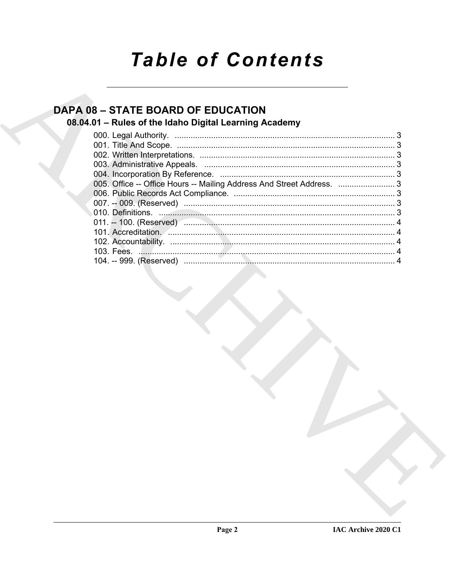# **Table of Contents**

# **DAPA 08 - STATE BOARD OF EDUCATION**

# 08.04.01 - Rules of the Idaho Digital Learning Academy

| 005. Office -- Office Hours -- Mailing Address And Street Address.  3 |  |
|-----------------------------------------------------------------------|--|
|                                                                       |  |
|                                                                       |  |
|                                                                       |  |
|                                                                       |  |
|                                                                       |  |
|                                                                       |  |
|                                                                       |  |
|                                                                       |  |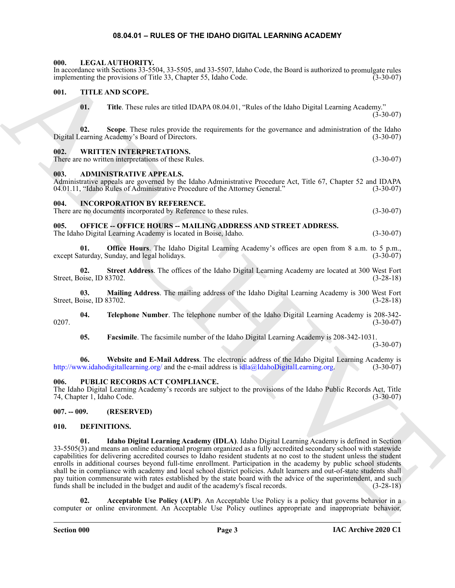#### **08.04.01 – RULES OF THE IDAHO DIGITAL LEARNING ACADEMY**

#### <span id="page-2-15"></span><span id="page-2-1"></span><span id="page-2-0"></span>**000. LEGAL AUTHORITY.**

In accordance with Sections 33-5504, 33-5505, and 33-5507, Idaho Code, the Board is authorized to promulgate rules implementing the provisions of Title 33, Chapter 55, Idaho Code. (3-30-07)

#### <span id="page-2-2"></span>**001. TITLE AND SCOPE.**

<span id="page-2-18"></span>**01. Title**. These rules are titled IDAPA 08.04.01, "Rules of the Idaho Digital Learning Academy."  $(3 - 30 - 07)$ 

**02.** Scope. These rules provide the requirements for the governance and administration of the Idaho earning Academy's Board of Directors. (3-30-07) Digital Learning Academy's Board of Directors.

#### <span id="page-2-19"></span><span id="page-2-3"></span>**002. WRITTEN INTERPRETATIONS.**

There are no written interpretations of these Rules. (3-30-07)

#### <span id="page-2-10"></span><span id="page-2-4"></span>**003. ADMINISTRATIVE APPEALS.**

Administrative appeals are governed by the Idaho Administrative Procedure Act, Title 67, Chapter 52 and IDAPA 04.01.11, "Idaho Rules of Administrative Procedure of the Attorney General." (3-30-07) 04.01.11, "Idaho Rules of Administrative Procedure of the Attorney General."

#### <span id="page-2-14"></span><span id="page-2-5"></span>**004. INCORPORATION BY REFERENCE.**

There are no documents incorporated by Reference to these rules. (3-30-07)

#### <span id="page-2-16"></span><span id="page-2-6"></span>**005. OFFICE -- OFFICE HOURS -- MAILING ADDRESS AND STREET ADDRESS.**

The Idaho Digital Learning Academy is located in Boise, Idaho. (3-30-07)

**01. Office Hours**. The Idaho Digital Learning Academy's offices are open from 8 a.m. to 5 p.m., aturday, Sunday, and legal holidays. (3-30-07) except Saturday, Sunday, and legal holidays.

**02. Street Address**. The offices of the Idaho Digital Learning Academy are located at 300 West Fort Street, Boise, ID 83702.

**03. Mailing Address**. The mailing address of the Idaho Digital Learning Academy is 300 West Fort Street, Boise, ID 83702. (3-28-18)

**04. Telephone Number**. The telephone number of the Idaho Digital Learning Academy is 208-342-  $0207.$  (3-30-07)

**05. Facsimile**. The facsimile number of the Idaho Digital Learning Academy is 208-342-1031.

(3-30-07)

**06. Website and E-Mail Address**. The electronic address of the Idaho Digital Learning Academy is http://www.idahodigitallearning.org/ and the e-mail address is idla@IdahoDigitalLearning.org. (3-30-07)

#### <span id="page-2-17"></span><span id="page-2-7"></span>**006. PUBLIC RECORDS ACT COMPLIANCE.**

The Idaho Digital Learning Academy's records are subject to the provisions of the Idaho Public Records Act, Title 74, Chapter 1, Idaho Code. (3-30-07)

#### <span id="page-2-8"></span>**007. -- 009. (RESERVED)**

#### <span id="page-2-13"></span><span id="page-2-11"></span><span id="page-2-9"></span>**010. DEFINITIONS.**

La constant with Schon 20.230 (13.23 (13.23 (13.23 (13.23 (13.24 (13.24 (13.24 (13.24 (13.24 (13.24 (13.24 (13.24 (13.24 (13.24 (13.24 (13.24 (13.24 (13.24 (13.24 (13.24 (13.24 (13.24 (13.24 (13.24 (13.24 (13.24 (13.24 (1 **01. Idaho Digital Learning Academy (IDLA)**. Idaho Digital Learning Academy is defined in Section 33-5505(3) and means an online educational program organized as a fully accredited secondary school with statewide capabilities for delivering accredited courses to Idaho resident students at no cost to the student unless the student enrolls in additional courses beyond full-time enrollment. Participation in the academy by public school students shall be in compliance with academy and local school district policies. Adult learners and out-of-state students shall pay tuition commensurate with rates established by the state board with the advice of the superintendent, and such funds shall be included in the budget and audit of the academy's fiscal records. (3-28-18) funds shall be included in the budget and audit of the academy's fiscal records.

<span id="page-2-12"></span>**02. Acceptable Use Policy (AUP)**. An Acceptable Use Policy is a policy that governs behavior in a computer or online environment. An Acceptable Use Policy outlines appropriate and inappropriate behavior,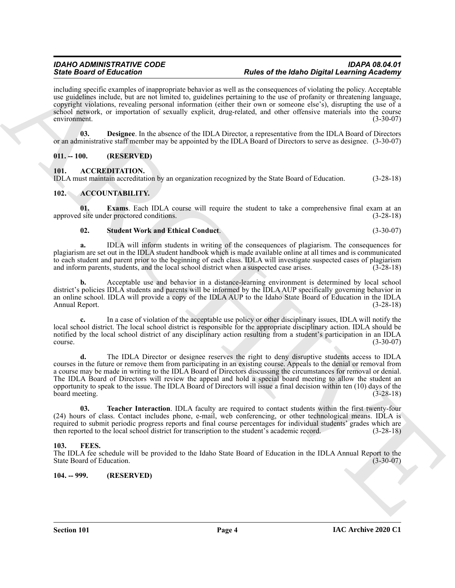including specific examples of inappropriate behavior as well as the consequences of violating the policy. Acceptable use guidelines include, but are not limited to, guidelines pertaining to the use of profanity or threatening language, copyright violations, revealing personal information (either their own or someone else's), disrupting the use of a school network, or importation of sexually explicit, drug-related, and other offensive materials into the course environment. (3-30-07)

<span id="page-3-10"></span>**03. Designee**. In the absence of the IDLA Director, a representative from the IDLA Board of Directors or an administrative staff member may be appointed by the IDLA Board of Directors to serve as designee. (3-30-07)

#### <span id="page-3-0"></span>**011. -- 100. (RESERVED)**

#### <span id="page-3-9"></span><span id="page-3-1"></span>**101. ACCREDITATION.**

IDLA must maintain accreditation by an organization recognized by the State Board of Education. (3-28-18)

#### <span id="page-3-5"></span><span id="page-3-2"></span>**102. ACCOUNTABILITY.**

**01. Exams**. Each IDLA course will require the student to take a comprehensive final exam at an site under proctored conditions. (3-28-18) approved site under proctored conditions.

#### <span id="page-3-7"></span><span id="page-3-6"></span>**02. Student Work and Ethical Conduct**. (3-30-07)

**a.** IDLA will inform students in writing of the consequences of plagiarism. The consequences for plagiarism are set out in the IDLA student handbook which is made available online at all times and is communicated to each student and parent prior to the beginning of each class. IDLA will investigate suspected cases of plagiarism and inform parents, students, and the local school district when a suspected case arises. (3-28-18)

**b.** Acceptable use and behavior in a distance-learning environment is determined by local school district's policies IDLA students and parents will be informed by the IDLA AUP specifically governing behavior in an online school. IDLA will provide a copy of the IDLA AUP to the Idaho State Board of Education in the IDLA<br>(3-28-18) Annual Report.

**c.** In a case of violation of the acceptable use policy or other disciplinary issues, IDLA will notify the local school district. The local school district is responsible for the appropriate disciplinary action. IDLA should be notified by the local school district of any disciplinary action resulting from a student's participation in an IDLA course. (3-30-07)  $\frac{1}{3}$  (3-30-07)

Since Board of Editorial continues behind on the base of the Islands of Palace and Continues and Continues and Continues and Continues and Continues and Continues and Continues and Continues and Continues and Continues an **d.** The IDLA Director or designee reserves the right to deny disruptive students access to IDLA courses in the future or remove them from participating in an existing course. Appeals to the denial or removal from a course may be made in writing to the IDLA Board of Directors discussing the circumstances for removal or denial. The IDLA Board of Directors will review the appeal and hold a special board meeting to allow the student an opportunity to speak to the issue. The IDLA Board of Directors will issue a final decision within ten (10) days of the board meeting. (3-28-18)

<span id="page-3-8"></span>**03. Teacher Interaction**. IDLA faculty are required to contact students within the first twenty-four (24) hours of class. Contact includes phone, e-mail, web conferencing, or other technological means. IDLA is required to submit periodic progress reports and final course percentages for individual students' grades which are then reported to the local school district for transcription to the student's academic record. (3-28-18)

#### <span id="page-3-11"></span><span id="page-3-3"></span>**103. FEES.**

The IDLA fee schedule will be provided to the Idaho State Board of Education in the IDLA Annual Report to the State Board of Education. (3-30-07) State Board of Education.

#### <span id="page-3-4"></span>**104. -- 999. (RESERVED)**